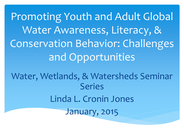Promoting Youth and Adult Global Water Awareness, Literacy, & Conservation Behavior: Challenges and Opportunities Water, Wetlands, & Watersheds Seminar Series Linda L. Cronin Jones

January, 2015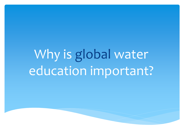# Why is global water education important?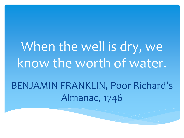# When the well is dry, we know the worth of water.

BENJAMIN FRANKLIN, Poor Richard's Almanac, 1746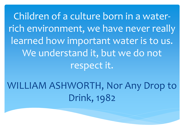Children of a culture born in a waterrich environment, we have never really learned how important water is to us. We understand it, but we do not respect it.

WILLIAM ASHWORTH, Nor Any Drop to Drink, 1982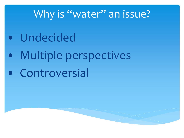#### Why is "water" an issue?

- Undecided
- Multiple perspectives
- Controversial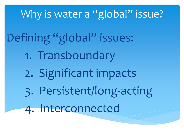Why is water a "global" issue? Defining "global" issues: 1. Transboundary 2. Significant impacts 3. Persistent/long-acting 4. Interconnected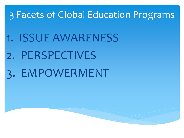#### 3 Facets of Global Education Programs

1. ISSUE AWARENESS

2. PERSPECTIVES

3. EMPOWERMENT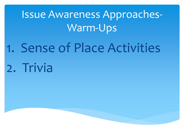Issue Awareness Approaches-Warm-Ups

# 1. Sense of Place Activities

### 2. Trivia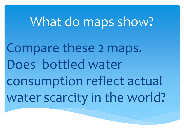### What do maps show?

Compare these 2 maps. Does bottled water consumption reflect actual water scarcity in the world?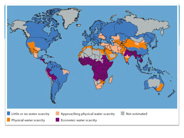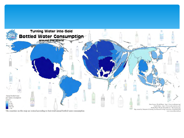

The countries on this map are resized according to their total annual bottled water consumption

Nestle Waters - http://www.nestle-watersna.com/ Bottled Water World Annual Review - BizAcumen, Inc. Map created by Benjamin D Hennig, Sasi Research Group, University of Sheffield 2011 www.viewsoftheworld.net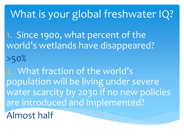1. Since 1900, what percent of the world's wetlands have disappeared? >50%

2. What fraction of the world's population will be living under severe water scarcity by 2030 if no new policies are introduced and implemented?

Almost half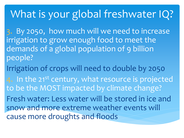3. By 2050, how much will we need to increase irrigation to grow enough food to meet the demands of a global population of 9 billion people?

Irrigation of crops will need to double by 2050

4. In the 21<sup>st</sup> century, what resource is projected to be the MOST impacted by climate change?

Fresh water: Less water will be stored in ice and snow and more extreme weather events will cause more droughts and floods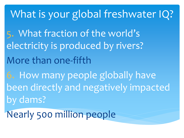5. What fraction of the world's electricity is produced by rivers?

More than one-fifth

6. How many people globally have been directly and negatively impacted by dams?

Nearly 500 million people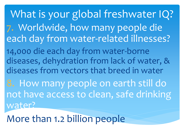What is your global freshwater IQ? 7. Worldwide, how many people die each day from water-related illnesses? 14,000 die each day from water-borne diseases, dehydration from lack of water, & diseases from vectors that breed in water 8. How many people on earth still do not have access to clean, safe drinking water?

More than 1.2 billion people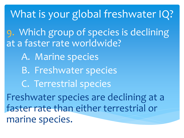What is your global freshwater IQ? 9. Which group of species is declining at a faster rate worldwide? A. Marine species B. Freshwater species C. Terrestrial species Freshwater species are declining at a faster rate than either terrestrial or marine species.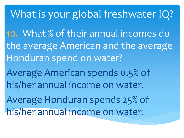10. What % of their annual incomes do the average American and the average Honduran spend on water?

Average American spends 0.5% of his/her annual income on water.

Average Honduran spends 25% of his/her annual income on water.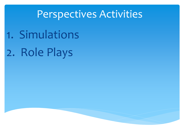#### Perspectives Activities

1. Simulations 2. Role Plays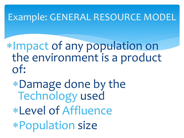#### Example: GENERAL RESOURCE MODEL

Impact of any population on the environment is a product of:

Damage done by the Technology used Level of Affluence Population size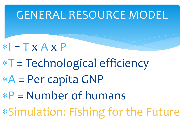#### GENERAL RESOURCE MODEL

- $\vert x \vert = T \times A \times P$
- $\ast T$  = Technological efficiency
- A = Per capita GNP
- $*P =$  Number of humans
- Simulation: Fishing for the Future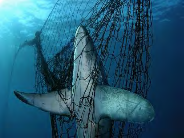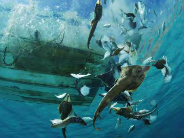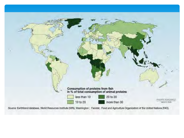

Source: Earthtrend database, World Resources Institute (WRI), Washington ; Faostat, Food and Agriculture Organization of the United Nations (FAO).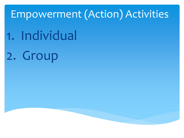#### Empowerment (Action) Activities

## 1. Individual

# 2. Group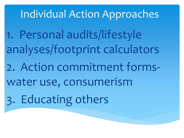#### Individual Action Approaches

1. Personal audits/lifestyle analyses/footprint calculators 2. Action commitment formswater use, consumerism

3. Educating others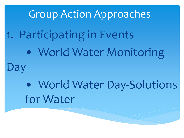Group Action Approaches 1. Participating in Events • World Water Monitoring Day • World Water Day-Solutions for Water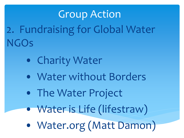### Group Action 2. Fundraising for Global Water **NGOs**

- Charity Water
- Water without Borders
- The Water Project
- Water is Life (lifestraw)
- Water.org (Matt Damon)